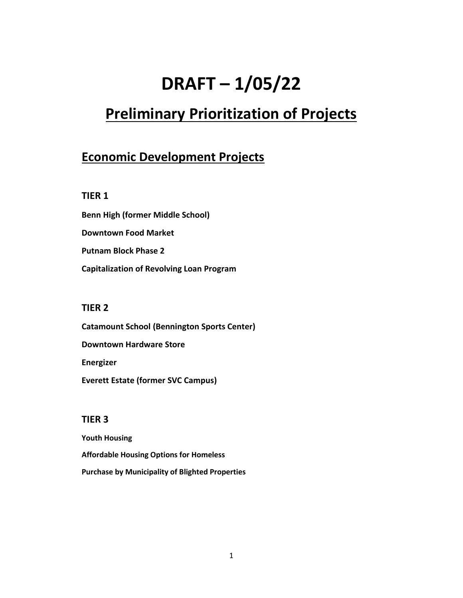# **DRAFT – 1/05/22**

## **Preliminary Prioritization of Projects**

### **Economic Development Projects**

#### **TIER 1**

**Benn High (former Middle School) Downtown Food Market Putnam Block Phase 2 Capitalization of Revolving Loan Program**

#### **TIER 2**

**Catamount School (Bennington Sports Center) Downtown Hardware Store Energizer Everett Estate (former SVC Campus)**

#### **TIER 3**

**Youth Housing Affordable Housing Options for Homeless Purchase by Municipality of Blighted Properties**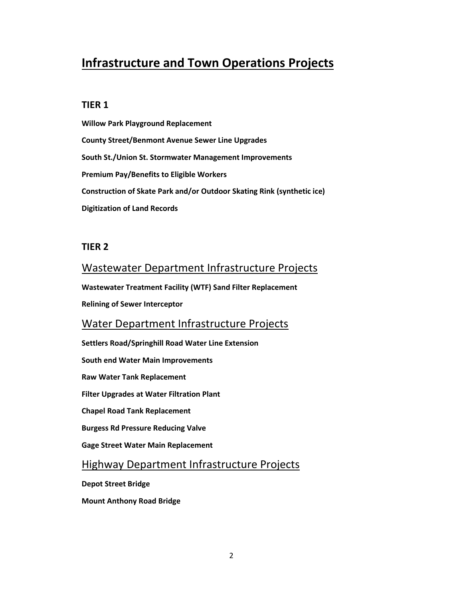## **Infrastructure and Town Operations Projects**

#### **TIER 1**

**Willow Park Playground Replacement County Street/Benmont Avenue Sewer Line Upgrades South St./Union St. Stormwater Management Improvements Premium Pay/Benefits to Eligible Workers Construction of Skate Park and/or Outdoor Skating Rink (synthetic ice) Digitization of Land Records**

#### **TIER 2**

#### Wastewater Department Infrastructure Projects

**Wastewater Treatment Facility (WTF) Sand Filter Replacement**

**Relining of Sewer Interceptor**

#### Water Department Infrastructure Projects

**Settlers Road/Springhill Road Water Line Extension**

**South end Water Main Improvements** 

**Raw Water Tank Replacement**

**Filter Upgrades at Water Filtration Plant**

**Chapel Road Tank Replacement**

**Burgess Rd Pressure Reducing Valve**

**Gage Street Water Main Replacement**

#### Highway Department Infrastructure Projects

**Depot Street Bridge**

**Mount Anthony Road Bridge**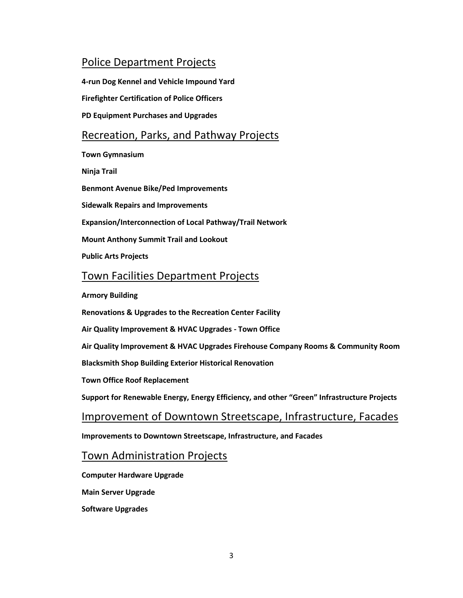#### Police Department Projects

**4-run Dog Kennel and Vehicle Impound Yard Firefighter Certification of Police Officers PD Equipment Purchases and Upgrades** Recreation, Parks, and Pathway Projects **Town Gymnasium Ninja Trail Benmont Avenue Bike/Ped Improvements Sidewalk Repairs and Improvements Expansion/Interconnection of Local Pathway/Trail Network Mount Anthony Summit Trail and Lookout Public Arts Projects**

#### Town Facilities Department Projects

**Armory Building**

**Renovations & Upgrades to the Recreation Center Facility**

**Air Quality Improvement & HVAC Upgrades - Town Office**

**Air Quality Improvement & HVAC Upgrades Firehouse Company Rooms & Community Room**

**Blacksmith Shop Building Exterior Historical Renovation**

**Town Office Roof Replacement**

**Support for Renewable Energy, Energy Efficiency, and other "Green" Infrastructure Projects**

#### Improvement of Downtown Streetscape, Infrastructure, Facades

**Improvements to Downtown Streetscape, Infrastructure, and Facades**

#### Town Administration Projects

**Computer Hardware Upgrade**

**Main Server Upgrade**

**Software Upgrades**